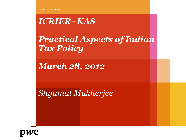www.pwc.com/in

## *ICRIER–KAS*

*Practical Aspects of Indian Tax Policy*

*March 28, 2012*

*Shyamal Mukherjee*

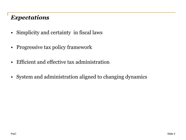#### *Expectations*

- Simplicity and certainty in fiscal laws
- Progressive tax policy framework
- Efficient and effective tax administration
- System and administration aligned to changing dynamics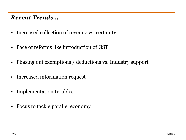#### *Recent Trends…*

- Increased collection of revenue vs. certainty
- Pace of reforms like introduction of GST
- Phasing out exemptions / deductions vs. Industry support
- Increased information request
- Implementation troubles
- Focus to tackle parallel economy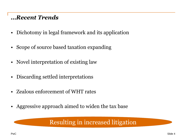#### *…Recent Trends*

- Dichotomy in legal framework and its application
- Scope of source based taxation expanding
- Novel interpretation of existing law
- Discarding settled interpretations
- Zealous enforcement of WHT rates
- Aggressive approach aimed to widen the tax base

#### Resulting in increased litigation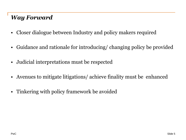### *Way Forward*

- Closer dialogue between Industry and policy makers required
- Guidance and rationale for introducing/ changing policy be provided
- Judicial interpretations must be respected
- Avenues to mitigate litigations/ achieve finality must be enhanced
- Tinkering with policy framework be avoided